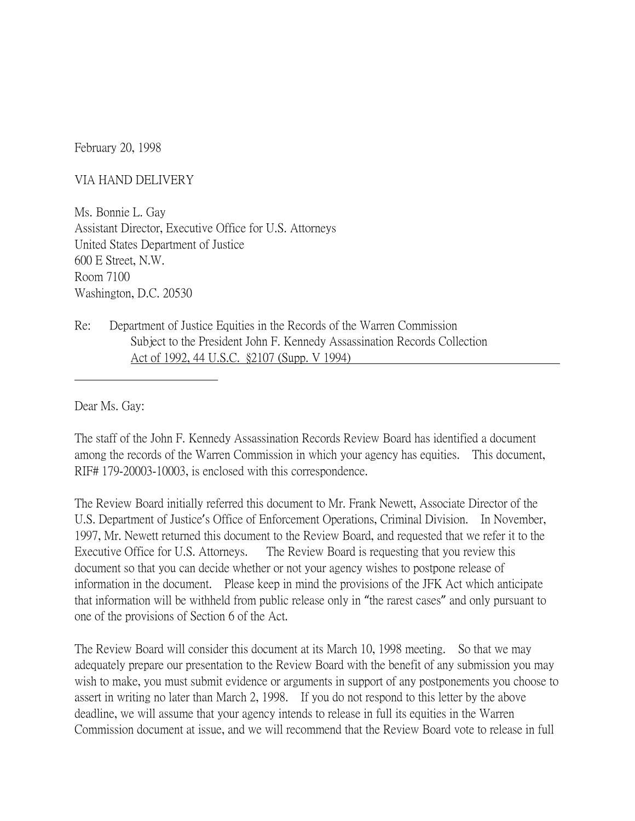February 20, 1998

VIA HAND DELIVERY

Ms. Bonnie L. Gay Assistant Director, Executive Office for U.S. Attorneys United States Department of Justice 600 E Street, N.W. Room 7100 Washington, D.C. 20530

Re: Department of Justice Equities in the Records of the Warren Commission Subject to the President John F. Kennedy Assassination Records Collection Act of 1992, 44 U.S.C. §2107 (Supp. V 1994)

Dear Ms. Gay:

The staff of the John F. Kennedy Assassination Records Review Board has identified a document among the records of the Warren Commission in which your agency has equities. This document, RIF# 179-20003-10003, is enclosed with this correspondence.

The Review Board initially referred this document to Mr. Frank Newett, Associate Director of the U.S. Department of Justice's Office of Enforcement Operations, Criminal Division. In November, 1997, Mr. Newett returned this document to the Review Board, and requested that we refer it to the Executive Office for U.S. Attorneys. The Review Board is requesting that you review this document so that you can decide whether or not your agency wishes to postpone release of information in the document. Please keep in mind the provisions of the JFK Act which anticipate that information will be withheld from public release only in "the rarest cases" and only pursuant to one of the provisions of Section 6 of the Act.

The Review Board will consider this document at its March 10, 1998 meeting. So that we may adequately prepare our presentation to the Review Board with the benefit of any submission you may wish to make, you must submit evidence or arguments in support of any postponements you choose to assert in writing no later than March 2, 1998. If you do not respond to this letter by the above deadline, we will assume that your agency intends to release in full its equities in the Warren Commission document at issue, and we will recommend that the Review Board vote to release in full